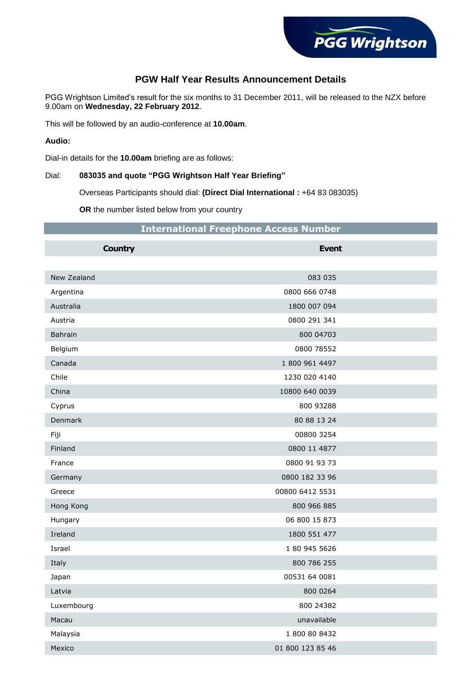

## **PGW Half Year Results Announcement Details**

PGG Wrightson Limited's result for the six months to 31 December 2011, will be released to the NZX before 9.00am on **Wednesday, 22 February 2012**.

This will be followed by an audio-conference at **10.00am**.

**Audio:**

Dial-in details for the **10.00am** briefing are as follows:

## Dial: **083035 and quote "PGG Wrightson Half Year Briefing"**

Overseas Participants should dial: **(Direct Dial International :** +64 83 083035)

**OR** the number listed below from your country

|  | <b>International Freephone Access Number</b> |  |  |  |
|--|----------------------------------------------|--|--|--|
|--|----------------------------------------------|--|--|--|

| <b>Country</b> | <b>Event</b>     |  |
|----------------|------------------|--|
|                |                  |  |
| New Zealand    | 083 035          |  |
| Argentina      | 0800 666 0748    |  |
| Australia      | 1800 007 094     |  |
| Austria        | 0800 291 341     |  |
| Bahrain        | 800 04703        |  |
| Belgium        | 0800 78552       |  |
| Canada         | 1 800 961 4497   |  |
| Chile          | 1230 020 4140    |  |
| China          | 10800 640 0039   |  |
| Cyprus         | 800 93288        |  |
| Denmark        | 80 88 13 24      |  |
| Fiji           | 00800 3254       |  |
| Finland        | 0800 11 4877     |  |
| France         | 0800 91 93 73    |  |
| Germany        | 0800 182 33 96   |  |
| Greece         | 00800 6412 5531  |  |
| Hong Kong      | 800 966 885      |  |
| Hungary        | 06 800 15 873    |  |
| Ireland        | 1800 551 477     |  |
| Israel         | 1 80 945 5626    |  |
| Italy          | 800 786 255      |  |
| Japan          | 00531 64 0081    |  |
| Latvia         | 800 0264         |  |
| Luxembourg     | 800 24382        |  |
| Macau          | unavailable      |  |
| Malaysia       | 1 800 80 8432    |  |
| Mexico         | 01 800 123 85 46 |  |